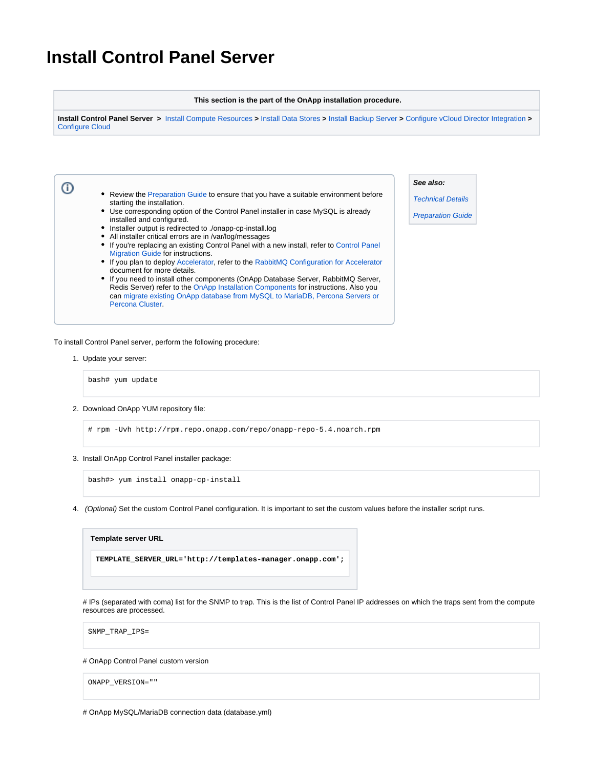# **Install Control Panel Server**

### **This section is the part of the OnApp installation procedure.**

**Install Control Panel Server >** [Install Compute Resources](https://docs.onapp.com/display/54GS/Install+Compute+Resources) **>** [Install Data Stores](https://docs.onapp.com/display/54GS/Install+Data+Stores) **>** [Install Backup Server](https://docs.onapp.com/display/54GS/Install+Backup+Server) **>** [Configure vCloud Director Integration](https://docs.onapp.com/display/54GS/Configure+vCloud+Director+Integration) **>**  [Configure Cloud](https://docs.onapp.com/display/54GS/Configure+Cloud)

• Review the [Preparation Guide](https://docs.onapp.com/display/54GS/Preparation+Guide) to ensure that you have a suitable environment before starting the installation. Use corresponding option of the Control Panel installer in case MySQL is already installed and configured.

- Installer output is redirected to ./onapp-cp-install.log
- All installer critical errors are in /var/log/messages
- If you're replacing an existing Control Panel with a new install, refer to Control Panel Migration Guide for instructions.
- If you plan to deploy Accelerator, refer to the [RabbitMQ Configuration for Accelerator](https://docs.onapp.com/display/MISC/RabbitMQ+Configuration+for+Accelerator) document for more details.
- If you need to install other components (OnApp Database Server, RabbitMQ Server, Redis Server) refer to the [OnApp Installation Components](https://docs.onapp.com/display/IG/OnApp+Installation+Components) for instructions. Also you can [migrate existing OnApp database from MySQL to MariaDB, Percona Servers or](https://docs.onapp.com/display/MISC/Migrate+Existing+OnApp+Database+from+MySQL+to+MariaDB%2C+Percona+Servers%2C+or+Percona+Cluster)  [Percona Cluster](https://docs.onapp.com/display/MISC/Migrate+Existing+OnApp+Database+from+MySQL+to+MariaDB%2C+Percona+Servers%2C+or+Percona+Cluster).

**See also:**

[Technical Details](https://docs.onapp.com/display/54GS/Technical+Details)

[Preparation Guide](https://docs.onapp.com/display/54GS/Preparation+Guide)

To install Control Panel server, perform the following procedure:

1. Update your server:

➀

bash# yum update

2. Download OnApp YUM repository file:

# rpm -Uvh http://rpm.repo.onapp.com/repo/onapp-repo-5.4.noarch.rpm

3. Install OnApp Control Panel installer package:

bash#> yum install onapp-cp-install

4. (Optional) Set the custom Control Panel configuration. It is important to set the custom values before the installer script runs.



# IPs (separated with coma) list for the SNMP to trap. This is the list of Control Panel IP addresses on which the traps sent from the compute resources are processed.

SNMP\_TRAP\_IPS=

# OnApp Control Panel custom version

ONAPP\_VERSION=""

# OnApp MySQL/MariaDB connection data (database.yml)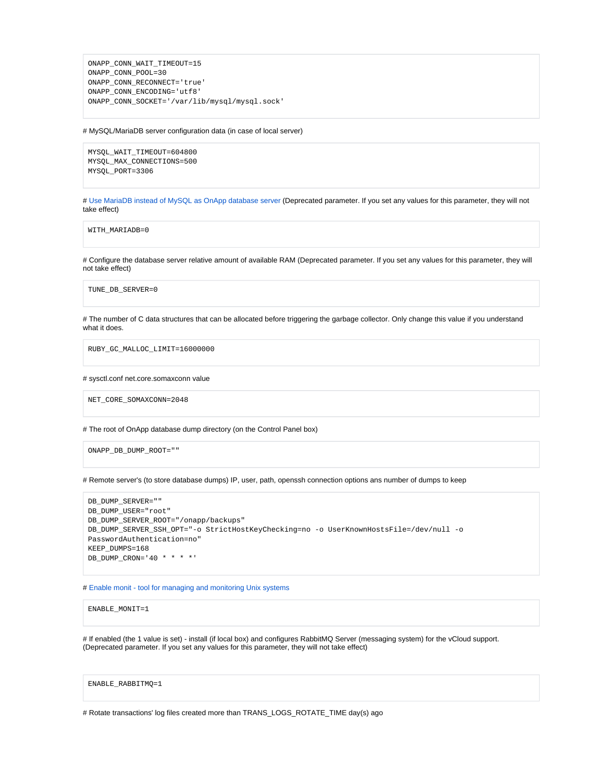```
ONAPP_CONN_WAIT_TIMEOUT=15
ONAPP_CONN_POOL=30
ONAPP_CONN_RECONNECT='true'
ONAPP_CONN_ENCODING='utf8'
ONAPP_CONN_SOCKET='/var/lib/mysql/mysql.sock'
```
#### # MySQL/MariaDB server configuration data (in case of local server)

MYSQL\_WAIT\_TIMEOUT=604800 MYSQL\_MAX\_CONNECTIONS=500 MYSQL\_PORT=3306

# [Use MariaDB instead of MySQL as OnApp database server](https://docs.onapp.com/display/MISC/Install+OnApp+Control+Panel+with+MariaDB+as+database+server) (Deprecated parameter. If you set any values for this parameter, they will not take effect)

WITH\_MARIADB=0

# Configure the database server relative amount of available RAM (Deprecated parameter. If you set any values for this parameter, they will not take effect)

TUNE\_DB\_SERVER=0

# The number of C data structures that can be allocated before triggering the garbage collector. Only change this value if you understand what it does.

RUBY\_GC\_MALLOC\_LIMIT=16000000

## # sysctl.conf net.core.somaxconn value

NET\_CORE\_SOMAXCONN=2048

# The root of OnApp database dump directory (on the Control Panel box)

ONAPP\_DB\_DUMP\_ROOT=""

# Remote server's (to store database dumps) IP, user, path, openssh connection options ans number of dumps to keep

```
DB_DUMP_SERVER=""
DB_DUMP_USER="root"
DB_DUMP_SERVER_ROOT="/onapp/backups"
DB_DUMP_SERVER_SSH_OPT="-o StrictHostKeyChecking=no -o UserKnownHostsFile=/dev/null -o 
PasswordAuthentication=no"
KEEP_DUMPS=168
DB_DUMP_CRON='40 * * * *'
```
# [Enable monit - tool for managing and monitoring Unix systems](https://docs.onapp.com/display/MISC/OnApp+Services+Monitoring+Tool)

ENABLE\_MONIT=1

# If enabled (the 1 value is set) - install (if local box) and configures RabbitMQ Server (messaging system) for the vCloud support. (Deprecated parameter. If you set any values for this parameter, they will not take effect)

ENABLE\_RABBITMQ=1

# Rotate transactions' log files created more than TRANS\_LOGS\_ROTATE\_TIME day(s) ago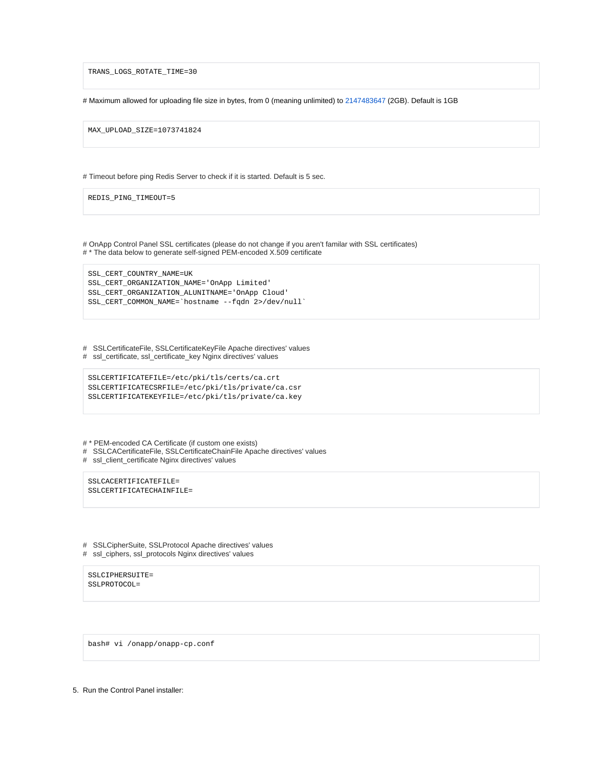TRANS\_LOGS\_ROTATE\_TIME=30

# Maximum allowed for uploading file size in bytes, from 0 (meaning unlimited) to 2147483647 (2GB). Default is 1GB

MAX\_UPLOAD\_SIZE=1073741824

# Timeout before ping Redis Server to check if it is started. Default is 5 sec.

REDIS\_PING\_TIMEOUT=5

# OnApp Control Panel SSL certificates (please do not change if you aren't familar with SSL certificates) # \* The data below to generate self-signed PEM-encoded X.509 certificate

SSL\_CERT\_COUNTRY\_NAME=UK SSL\_CERT\_ORGANIZATION\_NAME='OnApp Limited' SSL\_CERT\_ORGANIZATION\_ALUNITNAME='OnApp Cloud' SSL\_CERT\_COMMON\_NAME=`hostname --fqdn 2>/dev/null`

# SSLCertificateFile, SSLCertificateKeyFile Apache directives' values # ssl\_certificate, ssl\_certificate\_key Nginx directives' values

```
SSLCERTIFICATEFILE=/etc/pki/tls/certs/ca.crt
SSLCERTIFICATECSRFILE=/etc/pki/tls/private/ca.csr
SSLCERTIFICATEKEYFILE=/etc/pki/tls/private/ca.key
```
# \* PEM-encoded CA Certificate (if custom one exists)

# SSLCACertificateFile, SSLCertificateChainFile Apache directives' values

# ssl\_client\_certificate Nginx directives' values

SSLCACERTIFICATEFILE= SSLCERTIFICATECHAINFILE=

# SSLCipherSuite, SSLProtocol Apache directives' values

# ssl\_ciphers, ssl\_protocols Nginx directives' values

SSLCIPHERSUITE= SSLPROTOCOL=

bash# vi /onapp/onapp-cp.conf

5. Run the Control Panel installer: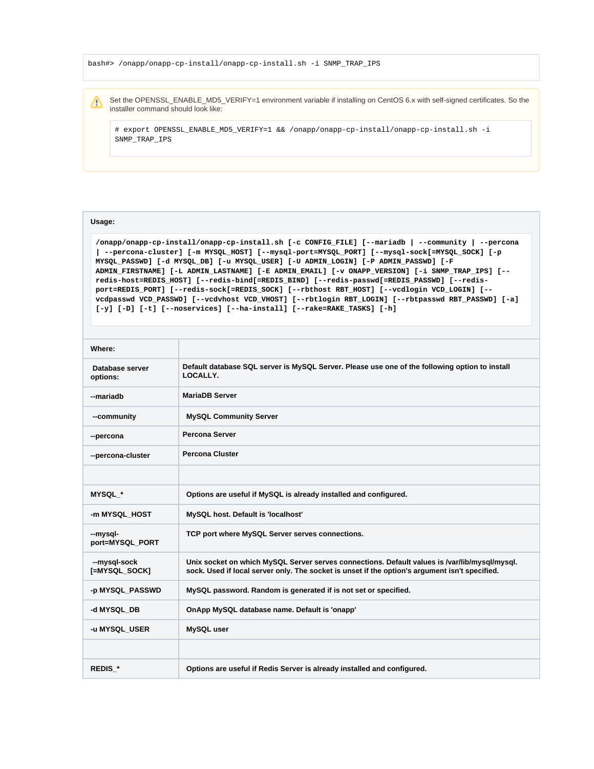bash#> /onapp/onapp-cp-install/onapp-cp-install.sh -i SNMP\_TRAP\_IPS

Set the OPENSSL\_ENABLE\_MD5\_VERIFY=1 environment variable if installing on CentOS 6.x with self-signed certificates. So the Δ installer command should look like:

# export OPENSSL\_ENABLE\_MD5\_VERIFY=1 && /onapp/onapp-cp-install/onapp-cp-install.sh -i SNMP\_TRAP\_IPS

## **Usage:**

**/onapp/onapp-cp-install/onapp-cp-install.sh [-c CONFIG\_FILE] [--mariadb | --community | --percona | --percona-cluster] [-m MYSQL\_HOST] [--mysql-port=MYSQL\_PORT] [--mysql-sock[=MYSQL\_SOCK] [-p MYSQL\_PASSWD] [-d MYSQL\_DB] [-u MYSQL\_USER] [-U ADMIN\_LOGIN] [-P ADMIN\_PASSWD] [-F ADMIN\_FIRSTNAME] [-L ADMIN\_LASTNAME] [-E ADMIN\_EMAIL] [-v ONAPP\_VERSION] [-i SNMP\_TRAP\_IPS] [- redis-host=REDIS\_HOST] [--redis-bind[=REDIS\_BIND] [--redis-passwd[=REDIS\_PASSWD] [--redisport=REDIS\_PORT] [--redis-sock[=REDIS\_SOCK] [--rbthost RBT\_HOST] [--vcdlogin VCD\_LOGIN] [- vcdpasswd VCD\_PASSWD] [--vcdvhost VCD\_VHOST] [--rbtlogin RBT\_LOGIN] [--rbtpasswd RBT\_PASSWD] [-a] [-y] [-D] [-t] [--noservices] [--ha-install] [--rake=RAKE\_TASKS] [-h]**

| Where:                        |                                                                                                                                                                                                 |
|-------------------------------|-------------------------------------------------------------------------------------------------------------------------------------------------------------------------------------------------|
| Database server<br>options:   | Default database SQL server is MySQL Server. Please use one of the following option to install<br>LOCALLY.                                                                                      |
| --mariadh                     | <b>MariaDB Server</b>                                                                                                                                                                           |
| --community                   | <b>MySQL Community Server</b>                                                                                                                                                                   |
| --percona                     | <b>Percona Server</b>                                                                                                                                                                           |
| --percona-cluster             | <b>Percona Cluster</b>                                                                                                                                                                          |
|                               |                                                                                                                                                                                                 |
| <b>MYSQL *</b>                | Options are useful if MySQL is already installed and configured.                                                                                                                                |
| -m MYSQL HOST                 | MySQL host. Default is 'localhost'                                                                                                                                                              |
| --mysql-<br>port=MYSQL PORT   | TCP port where MySQL Server serves connections.                                                                                                                                                 |
| --mysgl-sock<br>[=MYSQL SOCK] | Unix socket on which MySQL Server serves connections. Default values is /var/lib/mysql/mysql.<br>sock. Used if local server only. The socket is unset if the option's argument isn't specified. |
| -p MYSQL_PASSWD               | MySQL password. Random is generated if is not set or specified.                                                                                                                                 |
| -d MYSQL DB                   | OnApp MySQL database name. Default is 'onapp'                                                                                                                                                   |
| -u MYSQL USER                 | MySQL user                                                                                                                                                                                      |
|                               |                                                                                                                                                                                                 |
| REDIS <sup>*</sup>            | Options are useful if Redis Server is already installed and configured.                                                                                                                         |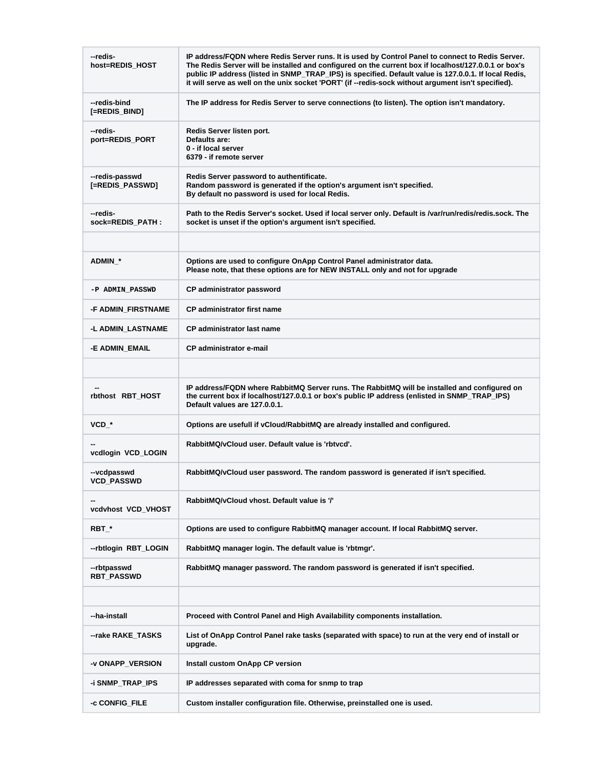| --redis-<br>host=REDIS_HOST       | IP address/FQDN where Redis Server runs. It is used by Control Panel to connect to Redis Server.<br>The Redis Server will be installed and configured on the current box if localhost/127.0.0.1 or box's<br>public IP address (listed in SNMP_TRAP_IPS) is specified. Default value is 127.0.0.1. If local Redis,<br>it will serve as well on the unix socket 'PORT' (if --redis-sock without argument isn't specified). |
|-----------------------------------|--------------------------------------------------------------------------------------------------------------------------------------------------------------------------------------------------------------------------------------------------------------------------------------------------------------------------------------------------------------------------------------------------------------------------|
| --redis-bind<br>[=REDIS_BIND]     | The IP address for Redis Server to serve connections (to listen). The option isn't mandatory.                                                                                                                                                                                                                                                                                                                            |
| --redis-<br>port=REDIS_PORT       | Redis Server listen port.<br>Defaults are:<br>0 - if local server<br>6379 - if remote server                                                                                                                                                                                                                                                                                                                             |
| --redis-passwd<br>[=REDIS_PASSWD] | Redis Server password to authentificate.<br>Random password is generated if the option's argument isn't specified.<br>By default no password is used for local Redis.                                                                                                                                                                                                                                                    |
| --redis-<br>sock=REDIS_PATH:      | Path to the Redis Server's socket. Used if local server only. Default is /var/run/redis/redis.sock. The<br>socket is unset if the option's argument isn't specified.                                                                                                                                                                                                                                                     |
|                                   |                                                                                                                                                                                                                                                                                                                                                                                                                          |
| <b>ADMIN *</b>                    | Options are used to configure OnApp Control Panel administrator data.<br>Please note, that these options are for NEW INSTALL only and not for upgrade                                                                                                                                                                                                                                                                    |
| -P ADMIN PASSWD                   | CP administrator password                                                                                                                                                                                                                                                                                                                                                                                                |
| -F ADMIN FIRSTNAME                | <b>CP</b> administrator first name                                                                                                                                                                                                                                                                                                                                                                                       |
| -L ADMIN_LASTNAME                 | <b>CP</b> administrator last name                                                                                                                                                                                                                                                                                                                                                                                        |
| -E ADMIN_EMAIL                    | <b>CP</b> administrator e-mail                                                                                                                                                                                                                                                                                                                                                                                           |
|                                   |                                                                                                                                                                                                                                                                                                                                                                                                                          |
| rbthost RBT_HOST                  | IP address/FQDN where RabbitMQ Server runs. The RabbitMQ will be installed and configured on<br>the current box if localhost/127.0.0.1 or box's public IP address (enlisted in SNMP_TRAP_IPS)<br>Default values are 127.0.0.1.                                                                                                                                                                                           |
| $VCD^*$                           | Options are usefull if vCloud/RabbitMQ are already installed and configured.                                                                                                                                                                                                                                                                                                                                             |
| vcdlogin VCD_LOGIN                | RabbitMQ/vCloud user. Default value is 'rbtvcd'.                                                                                                                                                                                                                                                                                                                                                                         |
| --vcdpasswd<br><b>VCD_PASSWD</b>  | RabbitMQ/vCloud user password. The random password is generated if isn't specified.                                                                                                                                                                                                                                                                                                                                      |
| vcdvhost VCD_VHOST                | RabbitMQ/vCloud vhost. Default value is '/'                                                                                                                                                                                                                                                                                                                                                                              |
| $RBT_{-}^*$                       | Options are used to configure RabbitMQ manager account. If local RabbitMQ server.                                                                                                                                                                                                                                                                                                                                        |
| --rbtlogin RBT_LOGIN              | RabbitMQ manager login. The default value is 'rbtmgr'.                                                                                                                                                                                                                                                                                                                                                                   |
| --rbtpasswd<br><b>RBT_PASSWD</b>  | RabbitMQ manager password. The random password is generated if isn't specified.                                                                                                                                                                                                                                                                                                                                          |
|                                   |                                                                                                                                                                                                                                                                                                                                                                                                                          |
| --ha-install                      | Proceed with Control Panel and High Availability components installation.                                                                                                                                                                                                                                                                                                                                                |
| --rake RAKE_TASKS                 | List of OnApp Control Panel rake tasks (separated with space) to run at the very end of install or<br>upgrade.                                                                                                                                                                                                                                                                                                           |
| -v ONAPP_VERSION                  | Install custom OnApp CP version                                                                                                                                                                                                                                                                                                                                                                                          |
| -i SNMP_TRAP_IPS                  | IP addresses separated with coma for snmp to trap                                                                                                                                                                                                                                                                                                                                                                        |
| -c CONFIG_FILE                    | Custom installer configuration file. Otherwise, preinstalled one is used.                                                                                                                                                                                                                                                                                                                                                |